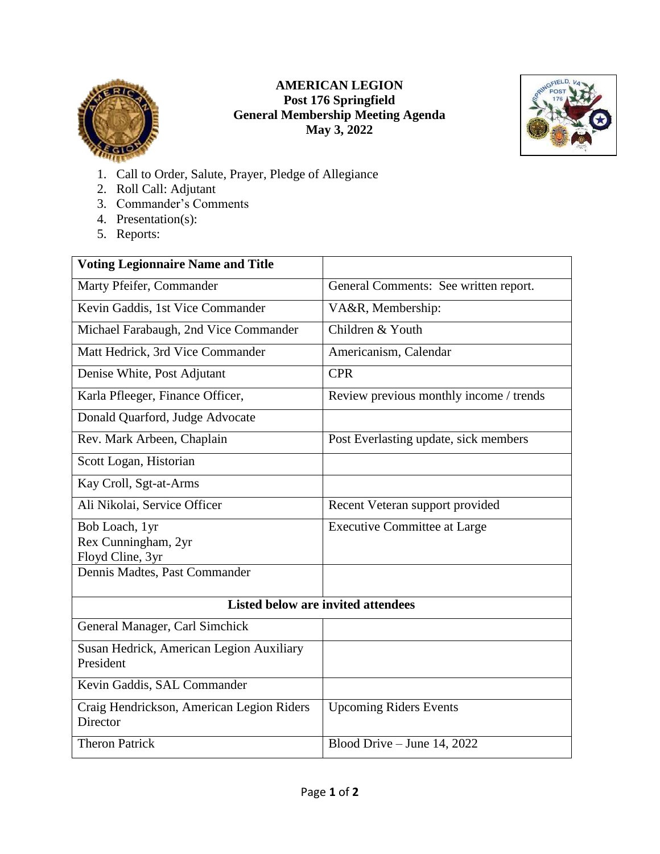

## **AMERICAN LEGION Post 176 Springfield General Membership Meeting Agenda May 3, 2022**



- 1. Call to Order, Salute, Prayer, Pledge of Allegiance
- 2. Roll Call: Adjutant
- 3. Commander's Comments
- 4. Presentation(s):
- 5. Reports:

| <b>Voting Legionnaire Name and Title</b>              |                                         |
|-------------------------------------------------------|-----------------------------------------|
| Marty Pfeifer, Commander                              | General Comments: See written report.   |
| Kevin Gaddis, 1st Vice Commander                      | VA&R, Membership:                       |
| Michael Farabaugh, 2nd Vice Commander                 | Children & Youth                        |
| Matt Hedrick, 3rd Vice Commander                      | Americanism, Calendar                   |
| Denise White, Post Adjutant                           | <b>CPR</b>                              |
| Karla Pfleeger, Finance Officer,                      | Review previous monthly income / trends |
| Donald Quarford, Judge Advocate                       |                                         |
| Rev. Mark Arbeen, Chaplain                            | Post Everlasting update, sick members   |
| Scott Logan, Historian                                |                                         |
| Kay Croll, Sgt-at-Arms                                |                                         |
| Ali Nikolai, Service Officer                          | Recent Veteran support provided         |
| Bob Loach, 1yr                                        | <b>Executive Committee at Large</b>     |
| Rex Cunningham, 2yr                                   |                                         |
| Floyd Cline, 3yr                                      |                                         |
| Dennis Madtes, Past Commander                         |                                         |
| <b>Listed below are invited attendees</b>             |                                         |
| General Manager, Carl Simchick                        |                                         |
| Susan Hedrick, American Legion Auxiliary<br>President |                                         |
| Kevin Gaddis, SAL Commander                           |                                         |
| Craig Hendrickson, American Legion Riders<br>Director | <b>Upcoming Riders Events</b>           |
| <b>Theron Patrick</b>                                 | Blood Drive - June 14, 2022             |